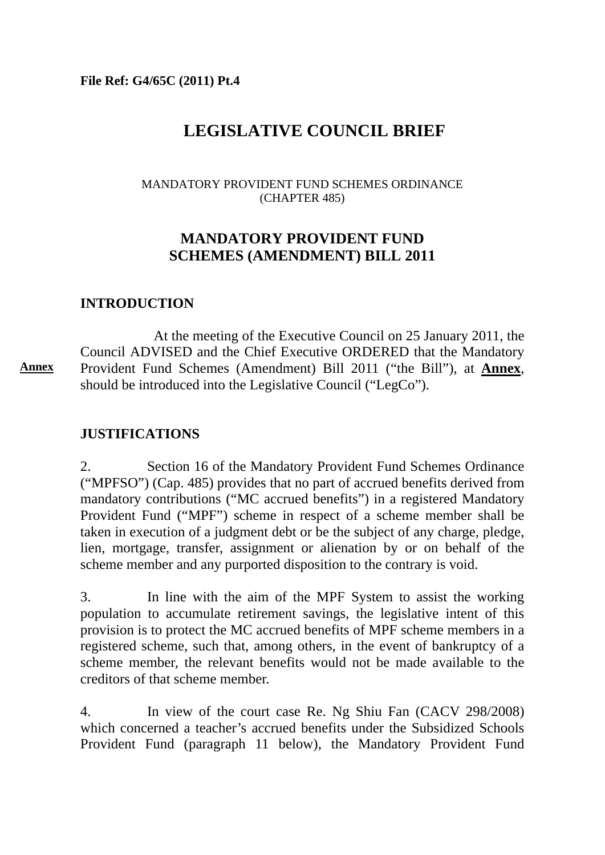**File Ref: G4/65C (2011) Pt.4** 

# **LEGISLATIVE COUNCIL BRIEF**

#### MANDATORY PROVIDENT FUND SCHEMES ORDINANCE (CHAPTER 485)

# **MANDATORY PROVIDENT FUND SCHEMES (AMENDMENT) BILL 2011**

### **INTRODUCTION**

 At the meeting of the Executive Council on 25 January 2011, the Council ADVISED and the Chief Executive ORDERED that the Mandatory Provident Fund Schemes (Amendment) Bill 2011 ("the Bill"), at **Annex**, should be introduced into the Legislative Council ("LegCo"). **Annex** 

### **JUSTIFICATIONS**

2. Section 16 of the Mandatory Provident Fund Schemes Ordinance ("MPFSO") (Cap. 485) provides that no part of accrued benefits derived from mandatory contributions ("MC accrued benefits") in a registered Mandatory Provident Fund ("MPF") scheme in respect of a scheme member shall be taken in execution of a judgment debt or be the subject of any charge, pledge, lien, mortgage, transfer, assignment or alienation by or on behalf of the scheme member and any purported disposition to the contrary is void.

3. In line with the aim of the MPF System to assist the working population to accumulate retirement savings, the legislative intent of this provision is to protect the MC accrued benefits of MPF scheme members in a registered scheme, such that, among others, in the event of bankruptcy of a scheme member, the relevant benefits would not be made available to the creditors of that scheme member.

4. In view of the court case Re. Ng Shiu Fan (CACV 298/2008) which concerned a teacher's accrued benefits under the Subsidized Schools Provident Fund (paragraph 11 below), the Mandatory Provident Fund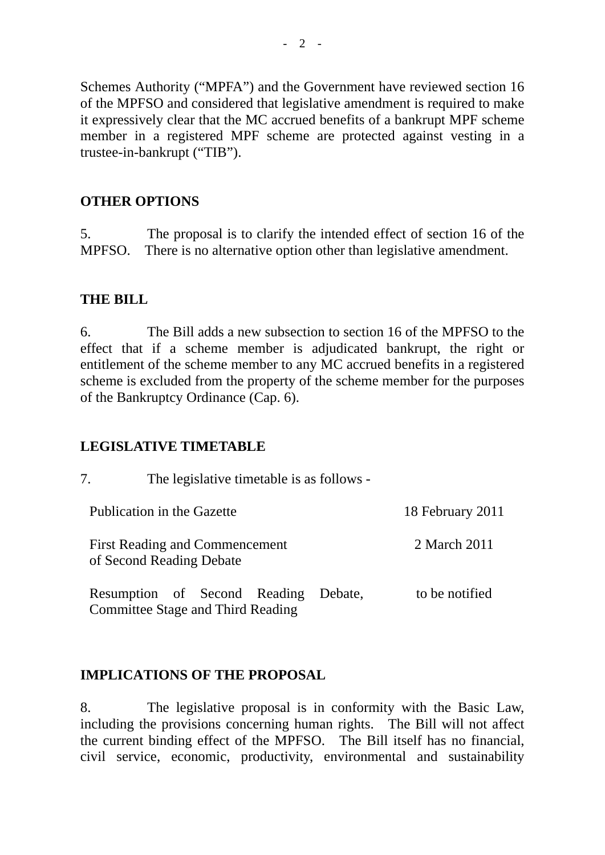Schemes Authority ("MPFA") and the Government have reviewed section 16 of the MPFSO and considered that legislative amendment is required to make it expressively clear that the MC accrued benefits of a bankrupt MPF scheme member in a registered MPF scheme are protected against vesting in a trustee-in-bankrupt ("TIB").

### **OTHER OPTIONS**

5. The proposal is to clarify the intended effect of section 16 of the MPFSO. There is no alternative option other than legislative amendment.

### **THE BILL**

6. The Bill adds a new subsection to section 16 of the MPFSO to the effect that if a scheme member is adjudicated bankrupt, the right or entitlement of the scheme member to any MC accrued benefits in a registered scheme is excluded from the property of the scheme member for the purposes of the Bankruptcy Ordinance (Cap. 6).

### **LEGISLATIVE TIMETABLE**

7. The legislative timetable is as follows -

| Publication in the Gazette                                               |         | 18 February 2011 |
|--------------------------------------------------------------------------|---------|------------------|
| <b>First Reading and Commencement</b><br>of Second Reading Debate        |         | 2 March 2011     |
| Resumption of Second Reading<br><b>Committee Stage and Third Reading</b> | Debate. | to be notified   |

### **IMPLICATIONS OF THE PROPOSAL**

8. The legislative proposal is in conformity with the Basic Law, including the provisions concerning human rights. The Bill will not affect the current binding effect of the MPFSO. The Bill itself has no financial, civil service, economic, productivity, environmental and sustainability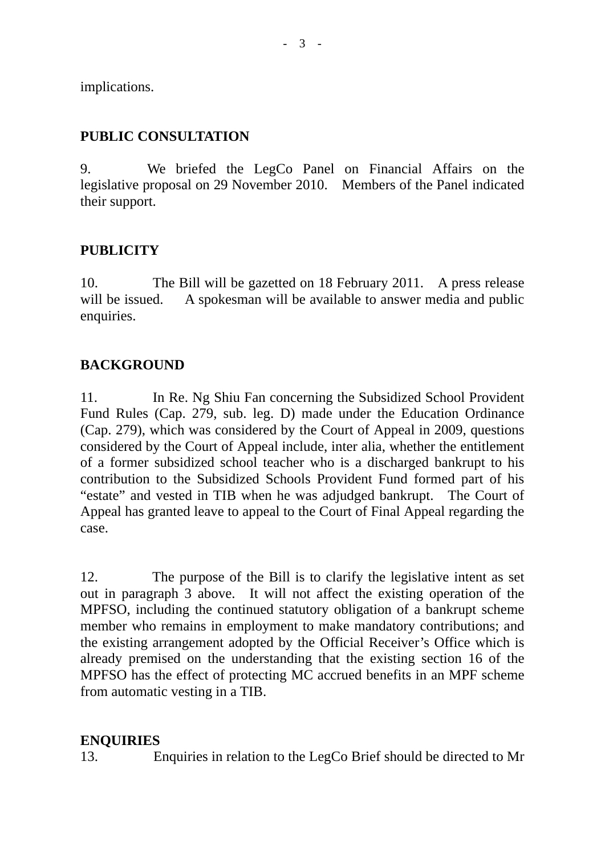implications.

### **PUBLIC CONSULTATION**

9. We briefed the LegCo Panel on Financial Affairs on the legislative proposal on 29 November 2010. Members of the Panel indicated their support.

### **PUBLICITY**

10. The Bill will be gazetted on 18 February 2011. A press release will be issued. A spokesman will be available to answer media and public enquiries.

### **BACKGROUND**

11. In Re. Ng Shiu Fan concerning the Subsidized School Provident Fund Rules (Cap. 279, sub. leg. D) made under the Education Ordinance (Cap. 279), which was considered by the Court of Appeal in 2009, questions considered by the Court of Appeal include, inter alia, whether the entitlement of a former subsidized school teacher who is a discharged bankrupt to his contribution to the Subsidized Schools Provident Fund formed part of his "estate" and vested in TIB when he was adjudged bankrupt. The Court of Appeal has granted leave to appeal to the Court of Final Appeal regarding the case.

12. The purpose of the Bill is to clarify the legislative intent as set out in paragraph 3 above. It will not affect the existing operation of the MPFSO, including the continued statutory obligation of a bankrupt scheme member who remains in employment to make mandatory contributions; and the existing arrangement adopted by the Official Receiver's Office which is already premised on the understanding that the existing section 16 of the MPFSO has the effect of protecting MC accrued benefits in an MPF scheme from automatic vesting in a TIB.

### **ENQUIRIES**

13. Enquiries in relation to the LegCo Brief should be directed to Mr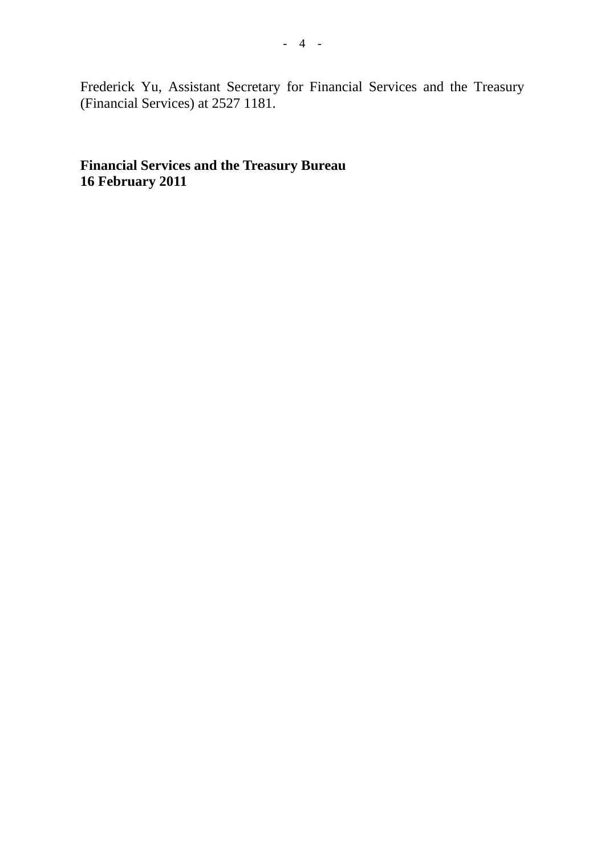Frederick Yu, Assistant Secretary for Financial Services and the Treasury (Financial Services) at 2527 1181.

**Financial Services and the Treasury Bureau 16 February 2011**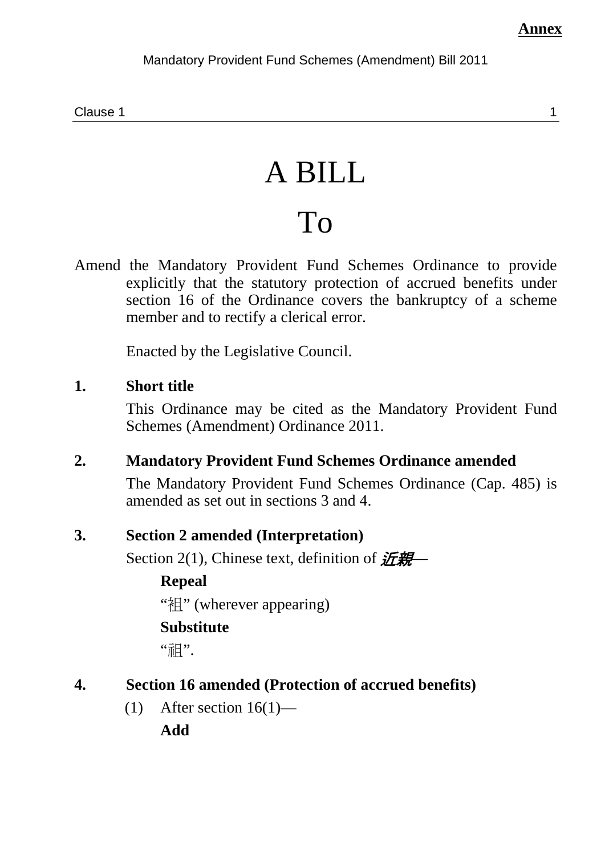Clause 1 and 1 and 2 and 2 and 2 and 2 and 2 and 2 and 2 and 2 and 2 and 2 and 2 and 2 and 2 and 2 and 2 and 2

# A BILL

# To

Amend the Mandatory Provident Fund Schemes Ordinance to provide explicitly that the statutory protection of accrued benefits under section 16 of the Ordinance covers the bankruptcy of a scheme member and to rectify a clerical error.

Enacted by the Legislative Council.

# **1. Short title**

This Ordinance may be cited as the Mandatory Provident Fund Schemes (Amendment) Ordinance 2011.

# **2. Mandatory Provident Fund Schemes Ordinance amended**

The Mandatory Provident Fund Schemes Ordinance (Cap. 485) is amended as set out in sections 3 and 4.

# **3. Section 2 amended (Interpretation)**

Section 2(1), Chinese text, definition of  $\mathcal{H}\mathcal{H}$ 

# **Repeal**

"袓" (wherever appearing)

# **Substitute**

"神".

# **4. Section 16 amended (Protection of accrued benefits)**

(1) After section  $16(1)$ —

**Add**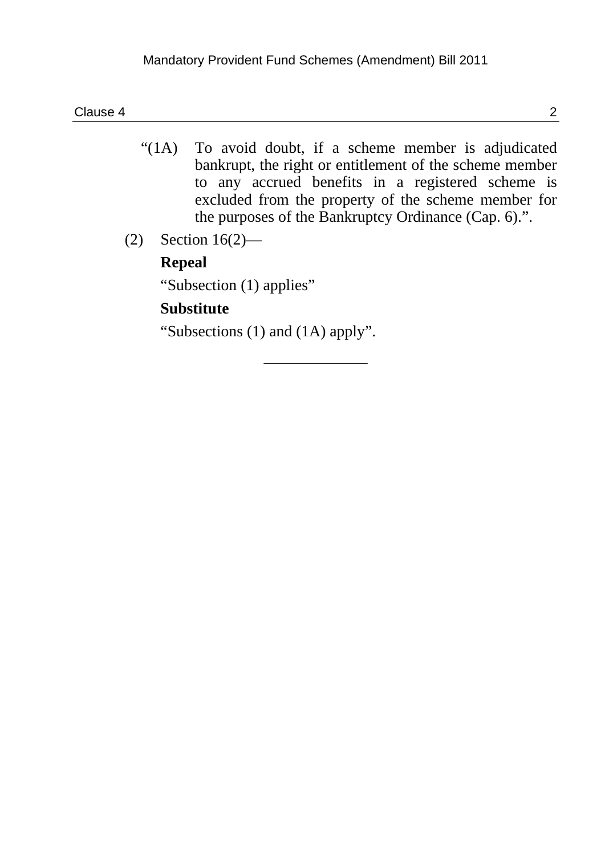- "(1A) To avoid doubt, if a scheme member is adjudicated bankrupt, the right or entitlement of the scheme member to any accrued benefits in a registered scheme is excluded from the property of the scheme member for the purposes of the Bankruptcy Ordinance (Cap. 6).".
- (2) Section 16(2)—

# **Repeal**

"Subsection (1) applies"

# **Substitute**

"Subsections (1) and (1A) apply".